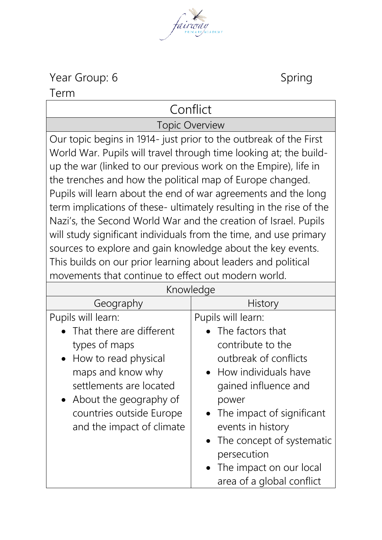Year Group: 6 Spring

Term

## Conflict

Topic Overview

Our topic begins in 1914- just prior to the outbreak of the First World War. Pupils will travel through time looking at; the buildup the war (linked to our previous work on the Empire), life in the trenches and how the political map of Europe changed. Pupils will learn about the end of war agreements and the long term implications of these- ultimately resulting in the rise of the Nazi's, the Second World War and the creation of Israel. Pupils will study significant individuals from the time, and use primary sources to explore and gain knowledge about the key events. This builds on our prior learning about leaders and political movements that continue to effect out modern world.

| Knowledge                                                                                                                                                                                                  |                                                                                                                                                                                                                                                                                         |
|------------------------------------------------------------------------------------------------------------------------------------------------------------------------------------------------------------|-----------------------------------------------------------------------------------------------------------------------------------------------------------------------------------------------------------------------------------------------------------------------------------------|
| Geography                                                                                                                                                                                                  | <b>History</b>                                                                                                                                                                                                                                                                          |
| Pupils will learn:                                                                                                                                                                                         | Pupils will learn:                                                                                                                                                                                                                                                                      |
| • That there are different<br>types of maps<br>• How to read physical<br>maps and know why<br>settlements are located<br>• About the geography of<br>countries outside Europe<br>and the impact of climate | • The factors that<br>contribute to the<br>outbreak of conflicts<br>• How individuals have<br>gained influence and<br>power<br>• The impact of significant<br>events in history<br>• The concept of systematic<br>persecution<br>• The impact on our local<br>area of a global conflict |